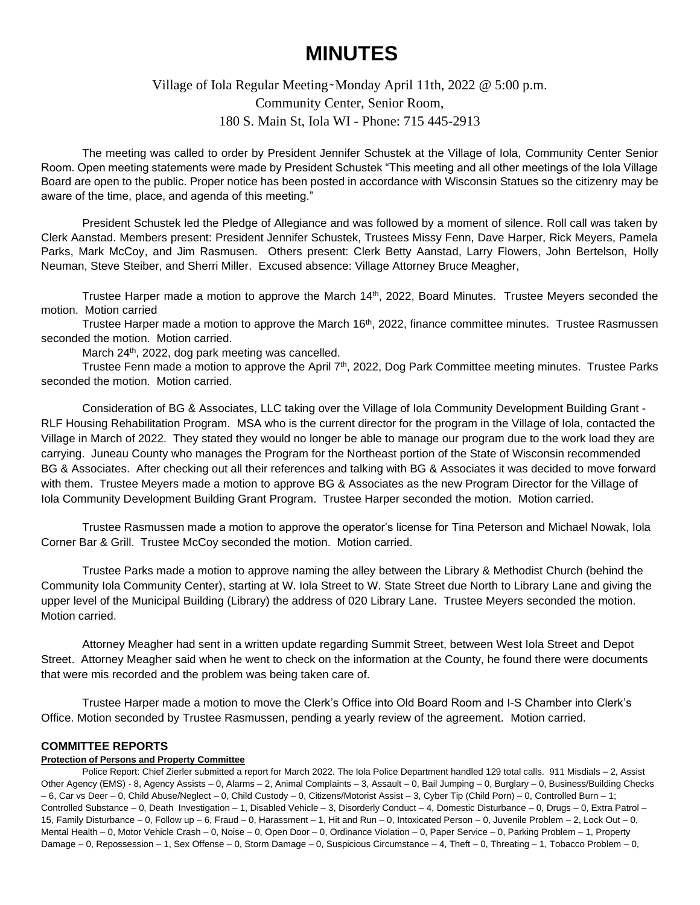# **MINUTES**

# Village of Iola Regular Meeting~Monday April 11th, 2022 @ 5:00 p.m. Community Center, Senior Room, 180 S. Main St, Iola WI - Phone: 715 445-2913

The meeting was called to order by President Jennifer Schustek at the Village of Iola, Community Center Senior Room. Open meeting statements were made by President Schustek "This meeting and all other meetings of the Iola Village Board are open to the public. Proper notice has been posted in accordance with Wisconsin Statues so the citizenry may be aware of the time, place, and agenda of this meeting."

President Schustek led the Pledge of Allegiance and was followed by a moment of silence. Roll call was taken by Clerk Aanstad. Members present: President Jennifer Schustek, Trustees Missy Fenn, Dave Harper, Rick Meyers, Pamela Parks, Mark McCoy, and Jim Rasmusen. Others present: Clerk Betty Aanstad, Larry Flowers, John Bertelson, Holly Neuman, Steve Steiber, and Sherri Miller. Excused absence: Village Attorney Bruce Meagher,

Trustee Harper made a motion to approve the March 14<sup>th</sup>, 2022, Board Minutes. Trustee Meyers seconded the motion. Motion carried

Trustee Harper made a motion to approve the March 16<sup>th</sup>, 2022, finance committee minutes. Trustee Rasmussen seconded the motion. Motion carried.

March 24<sup>th</sup>, 2022, dog park meeting was cancelled.

Trustee Fenn made a motion to approve the April 7<sup>th</sup>, 2022, Dog Park Committee meeting minutes. Trustee Parks seconded the motion. Motion carried.

Consideration of BG & Associates, LLC taking over the Village of Iola Community Development Building Grant - RLF Housing Rehabilitation Program. MSA who is the current director for the program in the Village of Iola, contacted the Village in March of 2022. They stated they would no longer be able to manage our program due to the work load they are carrying. Juneau County who manages the Program for the Northeast portion of the State of Wisconsin recommended BG & Associates. After checking out all their references and talking with BG & Associates it was decided to move forward with them. Trustee Meyers made a motion to approve BG & Associates as the new Program Director for the Village of Iola Community Development Building Grant Program. Trustee Harper seconded the motion. Motion carried.

Trustee Rasmussen made a motion to approve the operator's license for Tina Peterson and Michael Nowak, Iola Corner Bar & Grill. Trustee McCoy seconded the motion. Motion carried.

Trustee Parks made a motion to approve naming the alley between the Library & Methodist Church (behind the Community Iola Community Center), starting at W. Iola Street to W. State Street due North to Library Lane and giving the upper level of the Municipal Building (Library) the address of 020 Library Lane. Trustee Meyers seconded the motion. Motion carried.

Attorney Meagher had sent in a written update regarding Summit Street, between West Iola Street and Depot Street. Attorney Meagher said when he went to check on the information at the County, he found there were documents that were mis recorded and the problem was being taken care of.

Trustee Harper made a motion to move the Clerk's Office into Old Board Room and I-S Chamber into Clerk's Office. Motion seconded by Trustee Rasmussen, pending a yearly review of the agreement. Motion carried.

#### **COMMITTEE REPORTS**

# **Protection of Persons and Property Committee**

Police Report: Chief Zierler submitted a report for March 2022. The Iola Police Department handled 129 total calls. 911 Misdials – 2, Assist Other Agency (EMS) - 8, Agency Assists – 0, Alarms – 2, Animal Complaints – 3, Assault – 0, Bail Jumping – 0, Burglary – 0, Business/Building Checks – 6, Car vs Deer – 0, Child Abuse/Neglect – 0, Child Custody – 0, Citizens/Motorist Assist – 3, Cyber Tip (Child Porn) – 0, Controlled Burn – 1; Controlled Substance – 0, Death Investigation – 1, Disabled Vehicle – 3, Disorderly Conduct – 4, Domestic Disturbance – 0, Drugs – 0, Extra Patrol – 15, Family Disturbance – 0, Follow up – 6, Fraud – 0, Harassment – 1, Hit and Run – 0, Intoxicated Person – 0, Juvenile Problem – 2, Lock Out – 0, Mental Health – 0, Motor Vehicle Crash – 0, Noise – 0, Open Door – 0, Ordinance Violation – 0, Paper Service – 0, Parking Problem – 1, Property Damage – 0, Repossession – 1, Sex Offense – 0, Storm Damage – 0, Suspicious Circumstance – 4, Theft – 0, Threating – 1, Tobacco Problem – 0,